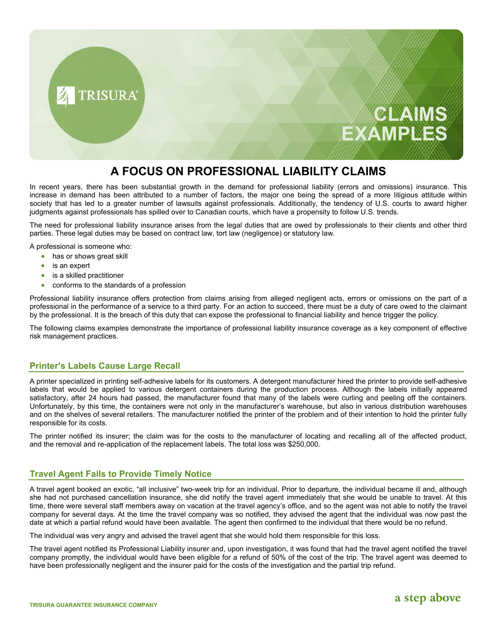

# **A FOCUS ON PROFESSIONAL LIABILITY CLAIMS**

In recent years, there has been substantial growth in the demand for professional liability (errors and omissions) insurance. This increase in demand has been attributed to a number of factors, the major one being the spread of a more litigious attitude within society that has led to a greater number of lawsuits against professionals. Additionally, the tendency of U.S. courts to award higher judgments against professionals has spilled over to Canadian courts, which have a propensity to follow U.S. trends.

The need for professional liability insurance arises from the legal duties that are owed by professionals to their clients and other third parties. These legal duties may be based on contract law, tort law (negligence) or statutory law.

A professional is someone who:

- has or shows great skill
- is an expert
- is a skilled practitioner
- conforms to the standards of a profession

Professional liability insurance offers protection from claims arising from alleged negligent acts, errors or omissions on the part of a professional in the performance of a service to a third party. For an action to succeed, there must be a duty of care owed to the claimant by the professional. It is the breach of this duty that can expose the professional to financial liability and hence trigger the policy.

The following claims examples demonstrate the importance of professional liability insurance coverage as a key component of effective risk management practices.

# **Printer's Labels Cause Large Recall**

A printer specialized in printing self-adhesive labels for its customers. A detergent manufacturer hired the printer to provide self-adhesive labels that would be applied to various detergent containers during the production process. Although the labels initially appeared satisfactory, after 24 hours had passed, the manufacturer found that many of the labels were curling and peeling off the containers. Unfortunately, by this time, the containers were not only in the manufacturer's warehouse, but also in various distribution warehouses and on the shelves of several retailers. The manufacturer notified the printer of the problem and of their intention to hold the printer fully responsible for its costs.

The printer notified its insurer; the claim was for the costs to the manufacturer of locating and recalling all of the affected product, and the removal and re-application of the replacement labels. The total loss was \$250,000.

# **Travel Agent Fails to Provide Timely Notice**

A travel agent booked an exotic, "all inclusive" two-week trip for an individual. Prior to departure, the individual became ill and, although she had not purchased cancellation insurance, she did notify the travel agent immediately that she would be unable to travel. At this time, there were several staff members away on vacation at the travel agency's office, and so the agent was not able to notify the travel company for several days. At the time the travel company was so notified, they advised the agent that the individual was now past the date at which a partial refund would have been available. The agent then confirmed to the individual that there would be no refund.

The individual was very angry and advised the travel agent that she would hold them responsible for this loss.

The travel agent notified its Professional Liability insurer and, upon investigation, it was found that had the travel agent notified the travel company promptly, the individual would have been eligible for a refund of 50% of the cost of the trip. The travel agent was deemed to have been professionally negligent and the insurer paid for the costs of the investigation and the partial trip refund.